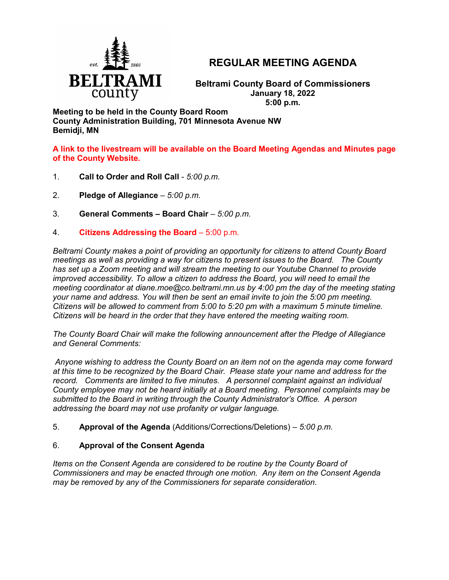

# **REGULAR MEETING AGENDA**

**Beltrami County Board of Commissioners January 18, 2022 5:00 p.m.**

**Meeting to be held in the County Board Room County Administration Building, 701 Minnesota Avenue NW Bemidji, MN**

**A link to the livestream will be available on the Board Meeting Agendas and Minutes page of the County Website.**

- 1. **Call to Order and Roll Call** *5:00 p.m.*
- 2. **Pledge of Allegiance**  *5:00 p.m.*
- 3. **General Comments – Board Chair** *5:00 p.m.*
- 4. **Citizens Addressing the Board**  5:00 p.m.

*Beltrami County makes a point of providing an opportunity for citizens to attend County Board meetings as well as providing a way for citizens to present issues to the Board. The County has set up a Zoom meeting and will stream the meeting to our Youtube Channel to provide improved accessibility. To allow a citizen to address the Board, you will need to email the meeting coordinator at diane.moe@co.beltrami.mn.us by 4:00 pm the day of the meeting stating your name and address. You will then be sent an email invite to join the 5:00 pm meeting. Citizens will be allowed to comment from 5:00 to 5:20 pm with a maximum 5 minute timeline. Citizens will be heard in the order that they have entered the meeting waiting room.* 

*The County Board Chair will make the following announcement after the Pledge of Allegiance and General Comments:*

*Anyone wishing to address the County Board on an item not on the agenda may come forward at this time to be recognized by the Board Chair. Please state your name and address for the record. Comments are limited to five minutes. A personnel complaint against an individual County employee may not be heard initially at a Board meeting. Personnel complaints may be submitted to the Board in writing through the County Administrator's Office. A person addressing the board may not use profanity or vulgar language.*

5. **Approval of the Agenda** (Additions/Corrections/Deletions) – *5:00 p.m.*

## 6. **Approval of the Consent Agenda**

*Items on the Consent Agenda are considered to be routine by the County Board of Commissioners and may be enacted through one motion. Any item on the Consent Agenda may be removed by any of the Commissioners for separate consideration*.